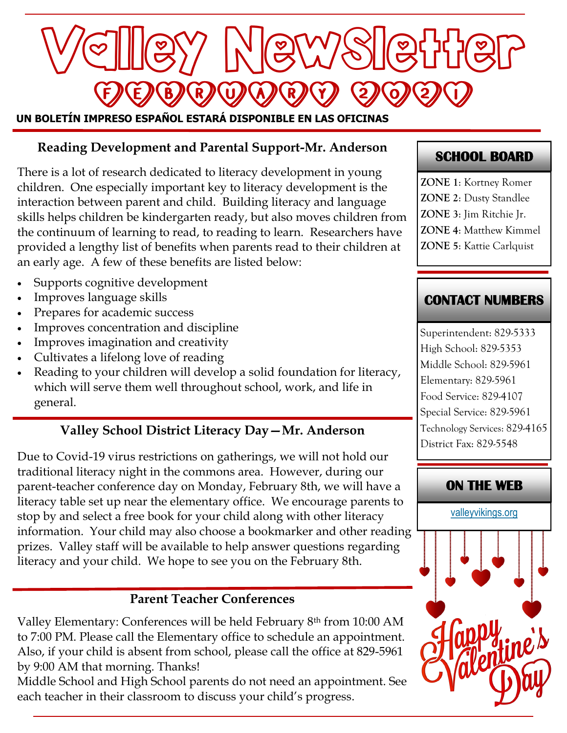

### **Reading Development and Parental Support-Mr. Anderson**

There is a lot of research dedicated to literacy development in young children. One especially important key to literacy development is the interaction between parent and child. Building literacy and language skills helps children be kindergarten ready, but also moves children from the continuum of learning to read, to reading to learn. Researchers have provided a lengthy list of benefits when parents read to their children at an early age. A few of these benefits are listed below:

- Supports cognitive development
- Improves language skills
- Prepares for academic success
- Improves concentration and discipline
- Improves imagination and creativity
- Cultivates a lifelong love of reading
- Reading to your children will develop a solid foundation for literacy, which will serve them well throughout school, work, and life in general.

#### **Valley School District Literacy Day—Mr. Anderson**

Due to Covid-19 virus restrictions on gatherings, we will not hold our traditional literacy night in the commons area. However, during our parent-teacher conference day on Monday, February 8th, we will have a literacy table set up near the elementary office. We encourage parents to stop by and select a free book for your child along with other literacy information. Your child may also choose a bookmarker and other reading prizes. Valley staff will be available to help answer questions regarding literacy and your child. We hope to see you on the February 8th.

#### **Parent Teacher Conferences**

Valley Elementary: Conferences will be held February 8th from 10:00 AM to 7:00 PM. Please call the Elementary office to schedule an appointment. Also, if your child is absent from school, please call the office at 829-5961 by 9:00 AM that morning. Thanks!

Middle School and High School parents do not need an appointment. See each teacher in their classroom to discuss your child's progress.

#### **SCHOOL BOARD**

**ZONE 1**: Kortney Romer **ZONE 2**: Dusty Standlee **ZONE 3**: Jim Ritchie Jr. **ZONE 4**: Matthew Kimmel **ZONE 5**: Kattie Carlquist

#### **CONTACT NUMBERS**

Superintendent: 829-5333 High School: 829-5353 Middle School: 829-5961 Elementary: 829-5961 Food Service: 829-4107 Special Service: 829-5961 Technology Services: 829-4165 District Fax: 829-5548

#### **ON THE WEB**

[valleyvikings.org](http://www.valleyvikings.org/)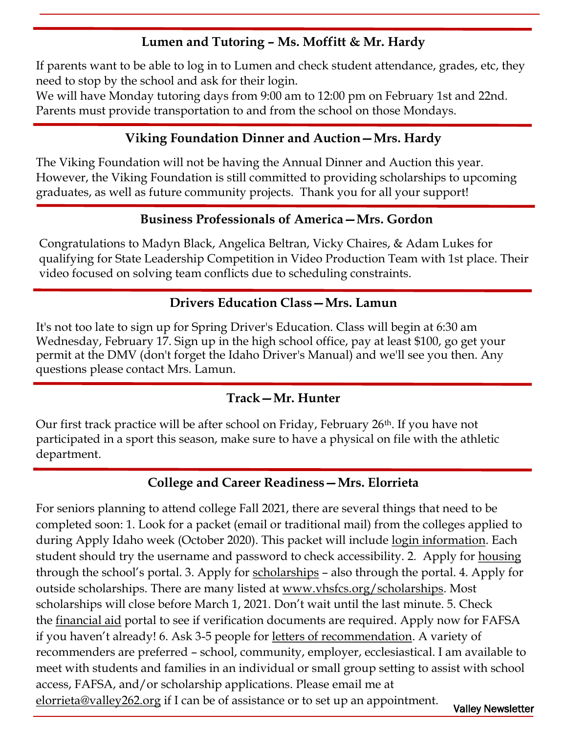# **Lumen and Tutoring – Ms. Moffitt & Mr. Hardy**

If parents want to be able to log in to Lumen and check student attendance, grades, etc, they need to stop by the school and ask for their login.

We will have Monday tutoring days from 9:00 am to 12:00 pm on February 1st and 22nd. Parents must provide transportation to and from the school on those Mondays.

### **Viking Foundation Dinner and Auction—Mrs. Hardy**

The Viking Foundation will not be having the Annual Dinner and Auction this year. However, the Viking Foundation is still committed to providing scholarships to upcoming graduates, as well as future community projects. Thank you for all your support!

### **Business Professionals of America—Mrs. Gordon**

Congratulations to Madyn Black, Angelica Beltran, Vicky Chaires, & Adam Lukes for qualifying for State Leadership Competition in Video Production Team with 1st place. Their video focused on solving team conflicts due to scheduling constraints.

### **Drivers Education Class—Mrs. Lamun**

It's not too late to sign up for Spring Driver's Education. Class will begin at 6:30 am Wednesday, February 17. Sign up in the high school office, pay at least \$100, go get your permit at the DMV (don't forget the Idaho Driver's Manual) and we'll see you then. Any questions please contact Mrs. Lamun.

### **Track—Mr. Hunter**

Our first track practice will be after school on Friday, February 26th. If you have not participated in a sport this season, make sure to have a physical on file with the athletic department.

### **College and Career Readiness—Mrs. Elorrieta**

Valley Newsletter For seniors planning to attend college Fall 2021, there are several things that need to be completed soon: 1. Look for a packet (email or traditional mail) from the colleges applied to during Apply Idaho week (October 2020). This packet will include login information. Each student should try the username and password to check accessibility. 2. Apply for housing through the school's portal. 3. Apply for scholarships – also through the portal. 4. Apply for outside scholarships. There are many listed at <u>www.vhsfcs.org/scholarships</u>. Most scholarships will close before March 1, 2021. Don't wait until the last minute. 5. Check the financial aid portal to see if verification documents are required. Apply now for FAFSA if you haven't already! 6. Ask 3-5 people for letters of recommendation. A variety of recommenders are preferred – school, community, employer, ecclesiastical. I am available to meet with students and families in an individual or small group setting to assist with school access, FAFSA, and/or scholarship applications. Please email me at [elorrieta@valley262.org](mailto:elorrieta@valley262.org) if I can be of assistance or to set up an appointment.